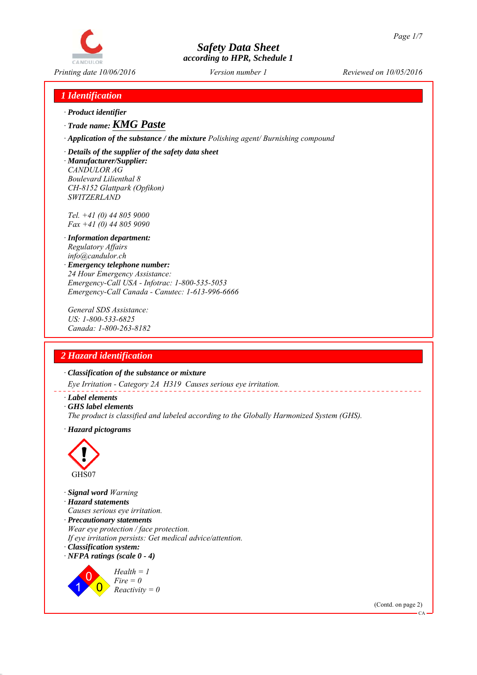

# *1 Identification*

- *∙ Product identifier*
- *∙ Trade name: KMG Paste*

*∙ Application of the substance / the mixture Polishing agent/ Burnishing compound*

*∙ Details of the supplier of the safety data sheet*

*∙ Manufacturer/Supplier: CANDULOR AG Boulevard Lilienthal 8 CH-8152 Glattpark (Opfikon) SWITZERLAND*

*Tel. +41 (0) 44 805 9000 Fax +41 (0) 44 805 9090*

- *∙ Information department: Regulatory Affairs info@candulor.ch*
- *∙ Emergency telephone number: 24 Hour Emergency Assistance: Emergency-Call USA - Infotrac: 1-800-535-5053 Emergency-Call Canada - Canutec: 1-613-996-6666*

*General SDS Assistance: US: 1-800-533-6825 Canada: 1-800-263-8182*

# *2 Hazard identification*

*∙ Classification of the substance or mixture*

*Eye Irritation - Category 2A H319 Causes serious eye irritation.*

*∙ Label elements*

*∙ GHS label elements*

*The product is classified and labeled according to the Globally Harmonized System (GHS).*

*∙ Hazard pictograms*



1

 $\overline{0}$ 

*∙ Signal word Warning ∙ Hazard statements Causes serious eye irritation. ∙ Precautionary statements Wear eye protection / face protection. If eye irritation persists: Get medical advice/attention. ∙ Classification system: ∙ NFPA ratings (scale 0 - 4)* 0 *Health = 1 Fire = 0*

*Reactivity = 0*

(Contd. on page 2)

CA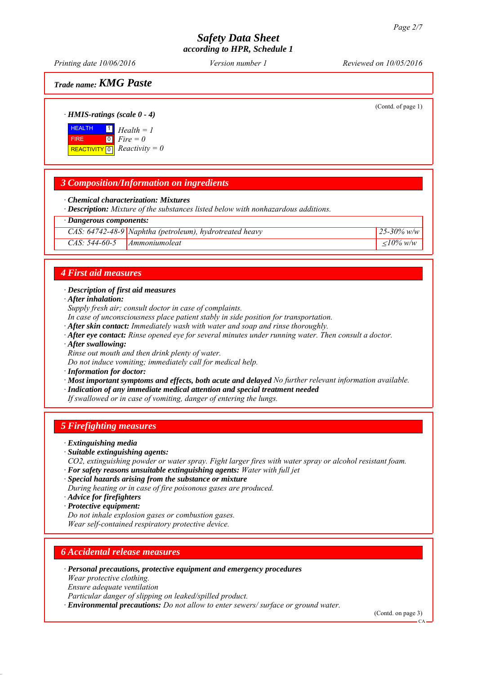*Printing date 10/06/2016 Reviewed on 10/05/2016 Version number 1*

*Trade name: KMG Paste*

(Contd. of page 1)

*CAS: 64742-48-9 Naphtha (petroleum), hydrotreated heavy 25-30% w/w*

### *∙ HMIS-ratings (scale 0 - 4)*

**HEALTH**  FIRE  $\boxed{\text{REACTIVITY} \boxed{0}}$  Reactivity = 0 1 *Health = 1* 0 *Fire = 0*

## *3 Composition/Information on ingredients*

*∙ Chemical characterization: Mixtures*

*∙ Description: Mixture of the substances listed below with nonhazardous additions.*

### *∙ Dangerous components:*

|                                 | CAS: 64742-48-9 Naphtha (petroleum), hydrotreated heavy | 25-30% w/y         |
|---------------------------------|---------------------------------------------------------|--------------------|
| $CAS: 544-60-5$   Ammoniumoleat |                                                         | $\langle 10\% w/w$ |

### *4 First aid measures*

#### *∙ Description of first aid measures*

*∙ After inhalation:*

*Supply fresh air; consult doctor in case of complaints.*

*In case of unconsciousness place patient stably in side position for transportation.*

- *∙ After skin contact: Immediately wash with water and soap and rinse thoroughly.*
- *∙ After eye contact: Rinse opened eye for several minutes under running water. Then consult a doctor.*
- *∙ After swallowing:*

*Rinse out mouth and then drink plenty of water.*

*Do not induce vomiting; immediately call for medical help.*

*∙ Information for doctor:*

*∙ Most important symptoms and effects, both acute and delayed No further relevant information available.*

- *∙ Indication of any immediate medical attention and special treatment needed*
- *If swallowed or in case of vomiting, danger of entering the lungs.*

## *5 Firefighting measures*

- *∙ Extinguishing media*
- *∙ Suitable extinguishing agents:*
- *CO2, extinguishing powder or water spray. Fight larger fires with water spray or alcohol resistant foam.*
- *∙ For safety reasons unsuitable extinguishing agents: Water with full jet*
- *∙ Special hazards arising from the substance or mixture*
- *During heating or in case of fire poisonous gases are produced.*
- *∙ Advice for firefighters*
- *∙ Protective equipment:*

*Do not inhale explosion gases or combustion gases.*

*Wear self-contained respiratory protective device.*

## *6 Accidental release measures*

*∙ Personal precautions, protective equipment and emergency procedures*

*Wear protective clothing.*

*Ensure adequate ventilation*

*Particular danger of slipping on leaked/spilled product.*

*∙ Environmental precautions: Do not allow to enter sewers/ surface or ground water.*

(Contd. on page 3)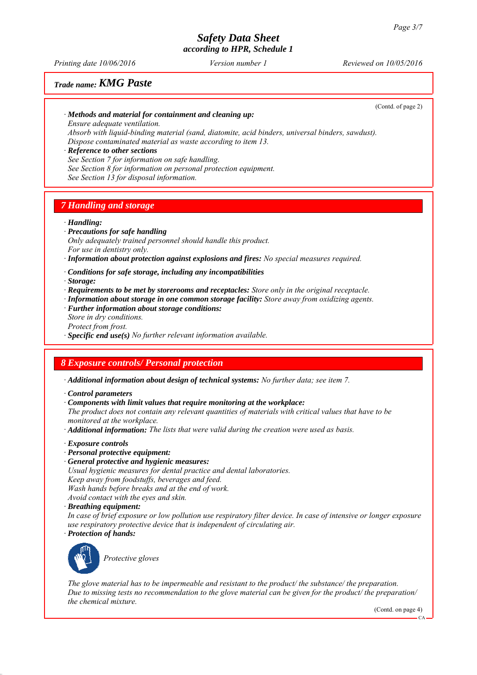*Printing date 10/06/2016 Reviewed on 10/05/2016 Version number 1*

## *Trade name: KMG Paste*

(Contd. of page 2)

#### *∙ Methods and material for containment and cleaning up:*

*Ensure adequate ventilation.*

*Absorb with liquid-binding material (sand, diatomite, acid binders, universal binders, sawdust). Dispose contaminated material as waste according to item 13.*

#### *∙ Reference to other sections*

*See Section 7 for information on safe handling.*

*See Section 8 for information on personal protection equipment.*

*See Section 13 for disposal information.*

### *7 Handling and storage*

*∙ Handling:*

*∙ Precautions for safe handling Only adequately trained personnel should handle this product. For use in dentistry only.*

*∙ Information about protection against explosions and fires: No special measures required.*

*∙ Conditions for safe storage, including any incompatibilities*

*∙ Storage:*

- *∙ Requirements to be met by storerooms and receptacles: Store only in the original receptacle.*
- *∙ Information about storage in one common storage facility: Store away from oxidizing agents.*
- *∙ Further information about storage conditions: Store in dry conditions. Protect from frost.*
- *∙ Specific end use(s) No further relevant information available.*

## *8 Exposure controls/ Personal protection*

*∙ Additional information about design of technical systems: No further data; see item 7.*

*∙ Control parameters*

*∙ Components with limit values that require monitoring at the workplace:*

*The product does not contain any relevant quantities of materials with critical values that have to be monitored at the workplace.*

*∙ Additional information: The lists that were valid during the creation were used as basis.*

*∙ Exposure controls*

- *∙ Personal protective equipment:*
- *∙ General protective and hygienic measures:*

*Usual hygienic measures for dental practice and dental laboratories.*

*Keep away from foodstuffs, beverages and feed.*

*Wash hands before breaks and at the end of work.*

*Avoid contact with the eyes and skin.*

*∙ Breathing equipment:*

*In case of brief exposure or low pollution use respiratory filter device. In case of intensive or longer exposure use respiratory protective device that is independent of circulating air. ∙ Protection of hands:*



*Protective gloves*

*The glove material has to be impermeable and resistant to the product/ the substance/ the preparation. Due to missing tests no recommendation to the glove material can be given for the product/ the preparation/ the chemical mixture.*

(Contd. on page 4)

CA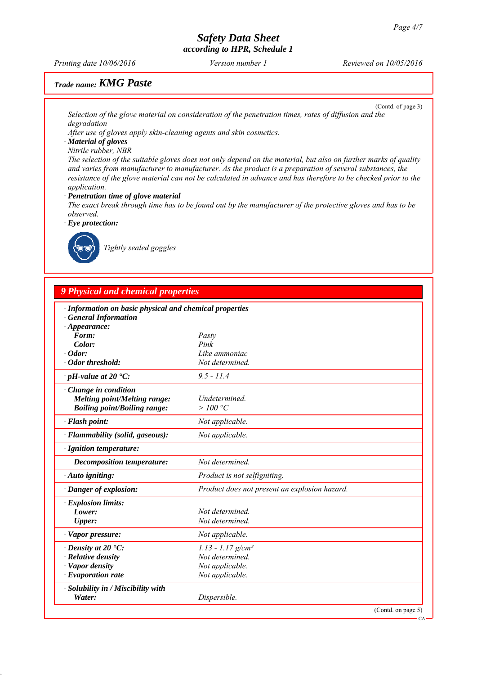*Printing date 10/06/2016 Reviewed on 10/05/2016 Version number 1*

# *Trade name: KMG Paste*

(Contd. of page 3)

*Selection of the glove material on consideration of the penetration times, rates of diffusion and the degradation*

*After use of gloves apply skin-cleaning agents and skin cosmetics.*

*∙ Material of gloves Nitrile rubber, NBR*

*The selection of the suitable gloves does not only depend on the material, but also on further marks of quality and varies from manufacturer to manufacturer. As the product is a preparation of several substances, the resistance of the glove material can not be calculated in advance and has therefore to be checked prior to the application.*

#### *∙ Penetration time of glove material*

*The exact break through time has to be found out by the manufacturer of the protective gloves and has to be observed.*

*∙ Eye protection:*



*Tightly sealed goggles*

## *9 Physical and chemical properties*

| · Information on basic physical and chemical properties |                                               |
|---------------------------------------------------------|-----------------------------------------------|
| <b>General Information</b><br>$\cdot$ Appearance:       |                                               |
| Form:                                                   | Pasty                                         |
| Color:                                                  | Pink                                          |
| $\cdot$ Odor:                                           | Like ammoniac                                 |
| $\cdot$ Odor threshold:                                 | Not determined.                               |
| $\cdot$ pH-value at 20 $\textdegree$ C:                 | $9.5 - 11.4$                                  |
| Change in condition                                     |                                               |
| <b>Melting point/Melting range:</b>                     | Undetermined.                                 |
| <b>Boiling point/Boiling range:</b>                     | >100 °C                                       |
| · Flash point:                                          | Not applicable.                               |
| · Flammability (solid, gaseous):                        | Not applicable.                               |
| · Ignition temperature:                                 |                                               |
| <b>Decomposition temperature:</b>                       | Not determined.                               |
| · Auto igniting:                                        | Product is not selfigniting.                  |
| · Danger of explosion:                                  | Product does not present an explosion hazard. |
| · Explosion limits:                                     |                                               |
| Lower:                                                  | Not determined.                               |
| <b>Upper:</b>                                           | Not determined.                               |
| $\cdot$ Vapor pressure:                                 | Not applicable.                               |
| $\cdot$ Density at 20 $\cdot$ C:                        | $1.13 - 1.17$ g/cm <sup>3</sup>               |
| $\cdot$ Relative density                                | Not determined.                               |
| · Vapor density                                         | Not applicable.                               |
| $\cdot$ Evaporation rate                                | Not applicable.                               |
| · Solubility in / Miscibility with                      |                                               |
| Water:                                                  | Dispersible.                                  |
|                                                         | (Contd. on page 5)                            |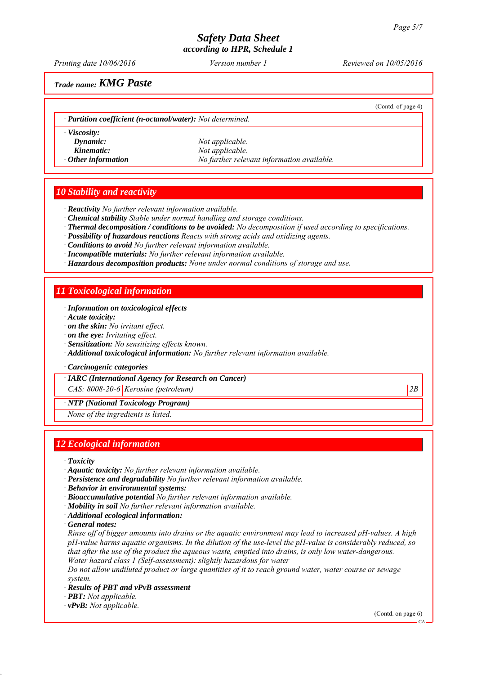*Printing date 10/06/2016 Reviewed on 10/05/2016 Version number 1*

(Contd. of page 4)

## *Trade name: KMG Paste*

*∙ Partition coefficient (n-octanol/water): Not determined.*

*∙ Viscosity:*

*Dynamic: Not applicable. Kinematic: Not applicable. ∙ Other information No further relevant information available.*

## *10 Stability and reactivity*

*∙ Reactivity No further relevant information available.*

- *∙ Chemical stability Stable under normal handling and storage conditions.*
- *∙ Thermal decomposition / conditions to be avoided: No decomposition if used according to specifications.*
- *∙ Possibility of hazardous reactions Reacts with strong acids and oxidizing agents.*
- *∙ Conditions to avoid No further relevant information available.*
- *∙ Incompatible materials: No further relevant information available.*
- *∙ Hazardous decomposition products: None under normal conditions of storage and use.*

## *11 Toxicological information*

*∙ Information on toxicological effects*

*∙ Acute toxicity:*

- *∙ on the skin: No irritant effect.*
- *∙ on the eye: Irritating effect.*
- *∙ Sensitization: No sensitizing effects known.*
- *∙ Additional toxicological information: No further relevant information available.*

*∙ Carcinogenic categories*

*∙ IARC (International Agency for Research on Cancer)*

*CAS: 8008-20-6 Kerosine (petroleum) 2B*

*∙ NTP (National Toxicology Program)*

*None of the ingredients is listed.*

## *12 Ecological information*

*∙ Toxicity*

- *∙ Aquatic toxicity: No further relevant information available.*
- *∙ Persistence and degradability No further relevant information available.*

*∙ Behavior in environmental systems:*

- *∙ Bioaccumulative potential No further relevant information available.*
- *∙ Mobility in soil No further relevant information available.*
- *∙ Additional ecological information:*

*∙ General notes:*

*Rinse off of bigger amounts into drains or the aquatic environment may lead to increased pH-values. A high pH-value harms aquatic organisms. In the dilution of the use-level the pH-value is considerably reduced, so that after the use of the product the aqueous waste, emptied into drains, is only low water-dangerous. Water hazard class 1 (Self-assessment): slightly hazardous for water*

*Do not allow undiluted product or large quantities of it to reach ground water, water course or sewage system.*

- *∙ Results of PBT and vPvB assessment*
- *∙ PBT: Not applicable.*

*∙ vPvB: Not applicable.*

(Contd. on page 6)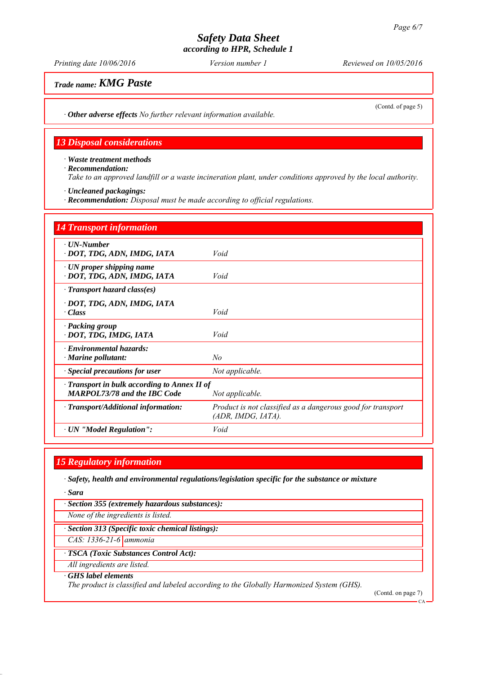*Printing date 10/06/2016 Reviewed on 10/05/2016 Version number 1*

*Trade name: KMG Paste*

(Contd. of page 5)

*∙ Other adverse effects No further relevant information available.*

## *13 Disposal considerations*

*∙ Waste treatment methods ∙ Recommendation: Take to an approved landfill or a waste incineration plant, under conditions approved by the local authority.*

*∙ Uncleaned packagings:*

*∙ Recommendation: Disposal must be made according to official regulations.*

| <b>14 Transport information</b>                                                   |                                                                                      |
|-----------------------------------------------------------------------------------|--------------------------------------------------------------------------------------|
| $\cdot$ UN-Number<br>· DOT, TDG, ADN, IMDG, IATA                                  | Void                                                                                 |
| $\cdot$ UN proper shipping name<br>· DOT, TDG, ADN, IMDG, IATA                    | Void                                                                                 |
| $\cdot$ Transport hazard class(es)                                                |                                                                                      |
| · DOT, TDG, ADN, IMDG, IATA<br>· Class                                            | Void                                                                                 |
| · Packing group<br>· DOT, TDG, IMDG, IATA                                         | Void                                                                                 |
| $\cdot$ Environmental hazards:<br>$\cdot$ Marine pollutant:                       | No                                                                                   |
| <b>Special precautions for user</b>                                               | Not applicable.                                                                      |
| Transport in bulk according to Annex II of<br><b>MARPOL73/78 and the IBC Code</b> | Not applicable.                                                                      |
| · Transport/Additional information:                                               | Product is not classified as a dangerous good for transport<br>$(ADR, IMDG, IATA)$ . |
| · UN "Model Regulation":                                                          | Void                                                                                 |

## *15 Regulatory information*

*∙ Safety, health and environmental regulations/legislation specific for the substance or mixture*

*∙ Sara*

*∙ Section 355 (extremely hazardous substances):*

*None of the ingredients is listed.*

*∙ Section 313 (Specific toxic chemical listings):*

*CAS: 1336-21-6 ammonia*

*∙ TSCA (Toxic Substances Control Act):*

*All ingredients are listed.*

#### *∙ GHS label elements*

*The product is classified and labeled according to the Globally Harmonized System (GHS).*

(Contd. on page 7)

CA